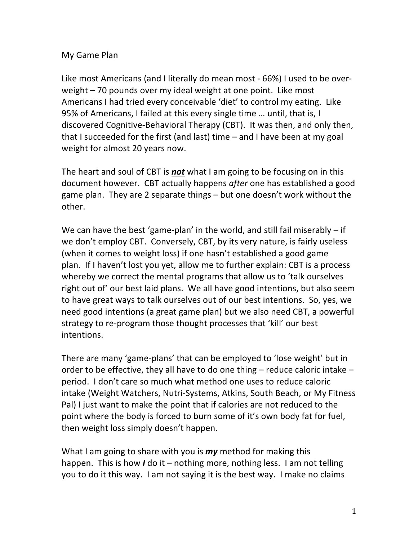## My Game Plan

Like most Americans (and I literally do mean most - 66%) I used to be overweight  $-70$  pounds over my ideal weight at one point. Like most Americans I had tried every conceivable 'diet' to control my eating. Like 95% of Americans, I failed at this every single time ... until, that is, I discovered Cognitive-Behavioral Therapy (CBT). It was then, and only then, that I succeeded for the first (and last) time  $-$  and I have been at my goal weight for almost 20 years now.

The heart and soul of CBT is **not** what I am going to be focusing on in this document however. CBT actually happens *after* one has established a good game plan. They are 2 separate things  $-$  but one doesn't work without the other.

We can have the best 'game-plan' in the world, and still fail miserably  $-$  if we don't employ CBT. Conversely, CBT, by its very nature, is fairly useless (when it comes to weight loss) if one hasn't established a good game plan. If I haven't lost you yet, allow me to further explain: CBT is a process whereby we correct the mental programs that allow us to 'talk ourselves right out of' our best laid plans. We all have good intentions, but also seem to have great ways to talk ourselves out of our best intentions. So, yes, we need good intentions (a great game plan) but we also need CBT, a powerful strategy to re-program those thought processes that 'kill' our best intentions.

There are many 'game-plans' that can be employed to 'lose weight' but in order to be effective, they all have to do one thing  $-$  reduce caloric intake  $$ period. I don't care so much what method one uses to reduce caloric intake (Weight Watchers, Nutri-Systems, Atkins, South Beach, or My Fitness Pal) I just want to make the point that if calories are not reduced to the point where the body is forced to burn some of it's own body fat for fuel, then weight loss simply doesn't happen.

What I am going to share with you is **my** method for making this happen. This is how *I* do it – nothing more, nothing less. I am not telling you to do it this way. I am not saying it is the best way. I make no claims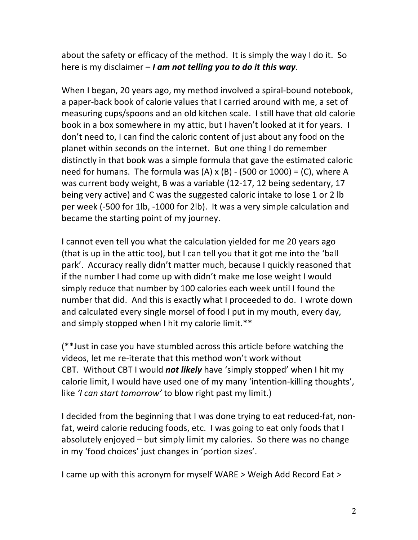about the safety or efficacy of the method. It is simply the way I do it. So here is my disclaimer – *I am not telling you to do it this way*.

When I began, 20 years ago, my method involved a spiral-bound notebook, a paper-back book of calorie values that I carried around with me, a set of measuring cups/spoons and an old kitchen scale. I still have that old calorie book in a box somewhere in my attic, but I haven't looked at it for years. I don't need to, I can find the caloric content of just about any food on the planet within seconds on the internet. But one thing I do remember distinctly in that book was a simple formula that gave the estimated caloric need for humans. The formula was  $(A) \times (B) - (500 \text{ or } 1000) = (C)$ , where A was current body weight, B was a variable (12-17, 12 being sedentary, 17 being very active) and C was the suggested caloric intake to lose 1 or 2 lb per week (-500 for 1lb, -1000 for 2lb). It was a very simple calculation and became the starting point of my journey.

I cannot even tell you what the calculation yielded for me 20 years ago (that is up in the attic too), but I can tell you that it got me into the 'ball park'. Accuracy really didn't matter much, because I quickly reasoned that if the number I had come up with didn't make me lose weight I would simply reduce that number by 100 calories each week until I found the number that did. And this is exactly what I proceeded to do. I wrote down and calculated every single morsel of food I put in my mouth, every day, and simply stopped when I hit my calorie  $limit.**$ 

 $(**)$ ust in case you have stumbled across this article before watching the videos, let me re-iterate that this method won't work without CBT. Without CBT I would **not likely** have 'simply stopped' when I hit my calorie limit, I would have used one of my many 'intention-killing thoughts', like *'I can start tomorrow'* to blow right past my limit.)

I decided from the beginning that I was done trying to eat reduced-fat, nonfat, weird calorie reducing foods, etc. I was going to eat only foods that I absolutely enjoyed  $-$  but simply limit my calories. So there was no change in my 'food choices' just changes in 'portion sizes'.

I came up with this acronym for myself WARE > Weigh Add Record Eat >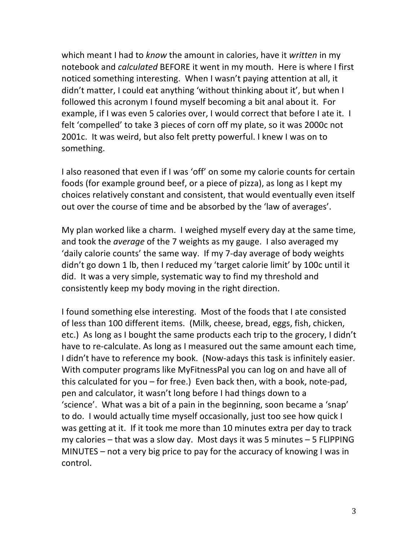which meant I had to *know* the amount in calories, have it *written* in my notebook and *calculated* BEFORE it went in my mouth. Here is where I first noticed something interesting. When I wasn't paying attention at all, it didn't matter, I could eat anything 'without thinking about it', but when I followed this acronym I found myself becoming a bit anal about it. For example, if I was even 5 calories over, I would correct that before I ate it. I felt 'compelled' to take 3 pieces of corn off my plate, so it was 2000c not 2001c. It was weird, but also felt pretty powerful. I knew I was on to something.

I also reasoned that even if I was 'off' on some my calorie counts for certain foods (for example ground beef, or a piece of pizza), as long as I kept my choices relatively constant and consistent, that would eventually even itself out over the course of time and be absorbed by the 'law of averages'.

My plan worked like a charm. I weighed myself every day at the same time, and took the *average* of the 7 weights as my gauge. I also averaged my 'daily calorie counts' the same way. If my 7-day average of body weights didn't go down 1 lb, then I reduced my 'target calorie limit' by 100c until it did. It was a very simple, systematic way to find my threshold and consistently keep my body moving in the right direction.

I found something else interesting. Most of the foods that I ate consisted of less than 100 different items. (Milk, cheese, bread, eggs, fish, chicken, etc.) As long as I bought the same products each trip to the grocery, I didn't have to re-calculate. As long as I measured out the same amount each time, I didn't have to reference my book. (Now-adays this task is infinitely easier. With computer programs like MyFitnessPal you can log on and have all of this calculated for you  $-$  for free.) Even back then, with a book, note-pad, pen and calculator, it wasn't long before I had things down to a 'science'. What was a bit of a pain in the beginning, soon became a 'snap' to do. I would actually time myself occasionally, just too see how quick I was getting at it. If it took me more than 10 minutes extra per day to track my calories  $-$  that was a slow day. Most days it was 5 minutes  $-$  5 FLIPPING MINUTES – not a very big price to pay for the accuracy of knowing I was in control.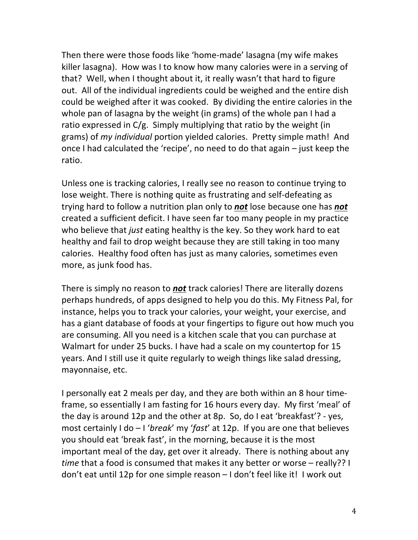Then there were those foods like 'home-made' lasagna (my wife makes killer lasagna). How was I to know how many calories were in a serving of that? Well, when I thought about it, it really wasn't that hard to figure out. All of the individual ingredients could be weighed and the entire dish could be weighed after it was cooked. By dividing the entire calories in the whole pan of lasagna by the weight (in grams) of the whole pan I had a ratio expressed in  $C/g$ . Simply multiplying that ratio by the weight (in grams) of *my individual* portion yielded calories. Pretty simple math! And once I had calculated the 'recipe', no need to do that again  $-$  just keep the ratio.

Unless one is tracking calories, I really see no reason to continue trying to lose weight. There is nothing quite as frustrating and self-defeating as trying hard to follow a nutrition plan only to not lose because one has not created a sufficient deficit. I have seen far too many people in my practice who believe that *just* eating healthy is the key. So they work hard to eat healthy and fail to drop weight because they are still taking in too many calories. Healthy food often has just as many calories, sometimes even more, as junk food has.

There is simply no reason to **not** track calories! There are literally dozens perhaps hundreds, of apps designed to help you do this. My Fitness Pal, for instance, helps you to track your calories, your weight, your exercise, and has a giant database of foods at your fingertips to figure out how much you are consuming. All you need is a kitchen scale that you can purchase at Walmart for under 25 bucks. I have had a scale on my countertop for 15 years. And I still use it quite regularly to weigh things like salad dressing, mayonnaise, etc.

I personally eat 2 meals per day, and they are both within an 8 hour timeframe, so essentially I am fasting for 16 hours every day. My first 'meal' of the day is around  $12p$  and the other at 8p. So, do I eat 'breakfast'? - yes, most certainly I do  $-1$  '*break*' my '*fast*' at 12p. If you are one that believes you should eat 'break fast', in the morning, because it is the most important meal of the day, get over it already. There is nothing about any *time* that a food is consumed that makes it any better or worse – really?? I don't eat until 12p for one simple reason  $-1$  don't feel like it! I work out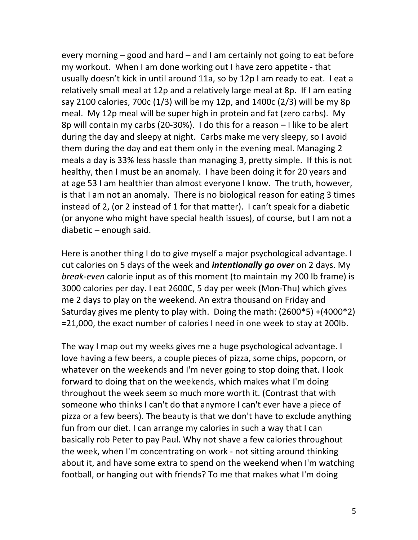every morning  $-$  good and hard  $-$  and I am certainly not going to eat before my workout. When I am done working out I have zero appetite - that usually doesn't kick in until around 11a, so by 12p I am ready to eat. I eat a relatively small meal at 12p and a relatively large meal at 8p. If I am eating say 2100 calories,  $700c$  (1/3) will be my 12p, and 1400c (2/3) will be my 8p meal. My 12p meal will be super high in protein and fat (zero carbs). My 8p will contain my carbs (20-30%). I do this for a reason  $-1$  like to be alert during the day and sleepy at night. Carbs make me very sleepy, so I avoid them during the day and eat them only in the evening meal. Managing 2 meals a day is 33% less hassle than managing 3, pretty simple. If this is not healthy, then I must be an anomaly. I have been doing it for 20 years and at age 53 I am healthier than almost everyone I know. The truth, however, is that I am not an anomaly. There is no biological reason for eating 3 times instead of 2, (or 2 instead of 1 for that matter). I can't speak for a diabetic (or anyone who might have special health issues), of course, but I am not a  $diabetic$  – enough said.

Here is another thing I do to give myself a major psychological advantage. I cut calories on 5 days of the week and *intentionally go over* on 2 days. My *break-even* calorie input as of this moment (to maintain my 200 lb frame) is 3000 calories per day. I eat 2600C, 5 day per week (Mon-Thu) which gives me 2 days to play on the weekend. An extra thousand on Friday and Saturday gives me plenty to play with. Doing the math:  $(2600*5) + (4000*2)$  $=$  21,000, the exact number of calories I need in one week to stay at 200lb.

The way I map out my weeks gives me a huge psychological advantage. I love having a few beers, a couple pieces of pizza, some chips, popcorn, or whatever on the weekends and I'm never going to stop doing that. I look forward to doing that on the weekends, which makes what I'm doing throughout the week seem so much more worth it. (Contrast that with someone who thinks I can't do that anymore I can't ever have a piece of pizza or a few beers). The beauty is that we don't have to exclude anything fun from our diet. I can arrange my calories in such a way that I can basically rob Peter to pay Paul. Why not shave a few calories throughout the week, when I'm concentrating on work - not sitting around thinking about it, and have some extra to spend on the weekend when I'm watching football, or hanging out with friends? To me that makes what I'm doing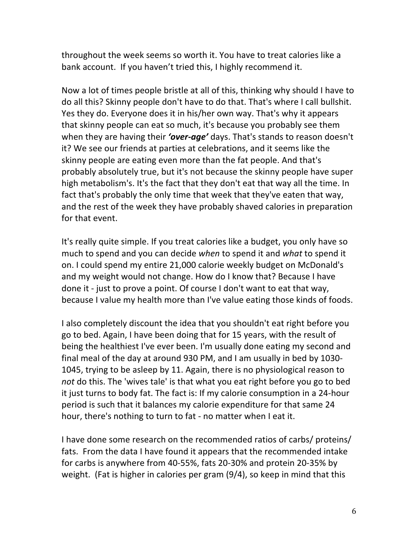throughout the week seems so worth it. You have to treat calories like a bank account. If you haven't tried this, I highly recommend it.

Now a lot of times people bristle at all of this, thinking why should I have to do all this? Skinny people don't have to do that. That's where I call bullshit. Yes they do. Everyone does it in his/her own way. That's why it appears that skinny people can eat so much, it's because you probably see them when they are having their **'over-age'** days. That's stands to reason doesn't it? We see our friends at parties at celebrations, and it seems like the skinny people are eating even more than the fat people. And that's probably absolutely true, but it's not because the skinny people have super high metabolism's. It's the fact that they don't eat that way all the time. In fact that's probably the only time that week that they've eaten that way, and the rest of the week they have probably shaved calories in preparation for that event.

It's really quite simple. If you treat calories like a budget, you only have so much to spend and you can decide *when* to spend it and *what* to spend it on. I could spend my entire 21,000 calorie weekly budget on McDonald's and my weight would not change. How do I know that? Because I have done it - just to prove a point. Of course I don't want to eat that way, because I value my health more than I've value eating those kinds of foods.

I also completely discount the idea that you shouldn't eat right before you go to bed. Again, I have been doing that for 15 years, with the result of being the healthiest I've ever been. I'm usually done eating my second and final meal of the day at around 930 PM, and I am usually in bed by 1030-1045, trying to be asleep by 11. Again, there is no physiological reason to not do this. The 'wives tale' is that what you eat right before you go to bed it just turns to body fat. The fact is: If my calorie consumption in a 24-hour period is such that it balances my calorie expenditure for that same 24 hour, there's nothing to turn to fat - no matter when I eat it.

I have done some research on the recommended ratios of carbs/ proteins/ fats. From the data I have found it appears that the recommended intake for carbs is anywhere from 40-55%, fats 20-30% and protein 20-35% by weight. (Fat is higher in calories per gram  $(9/4)$ , so keep in mind that this